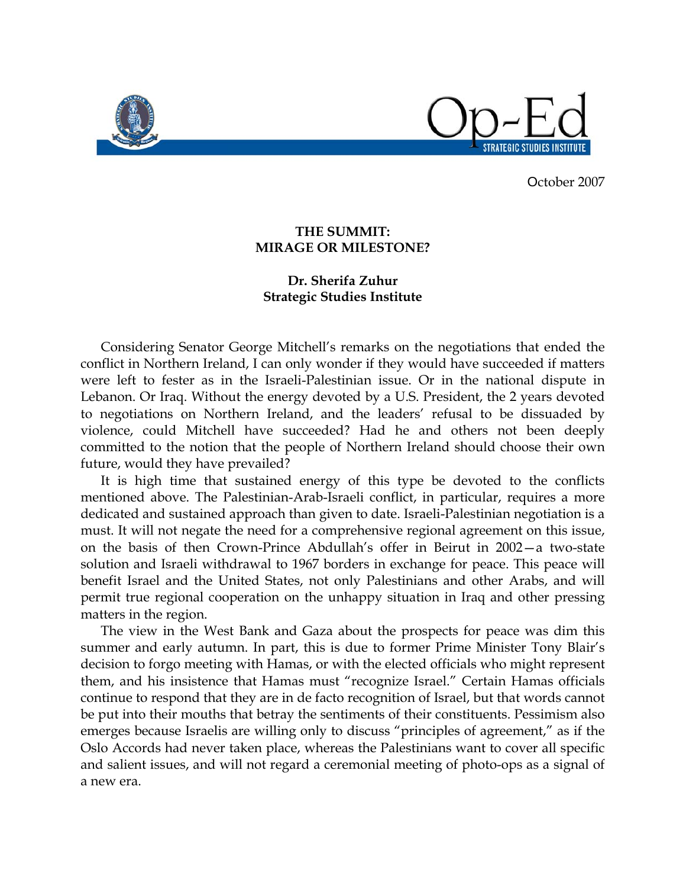

October 2007

## **THE SUMMIT: MIRAGE OR MILESTONE?**

## **Dr. Sherifa Zuhur Strategic Studies Institute**

 Considering Senator George Mitchell's remarks on the negotiations that ended the conflict in Northern Ireland, I can only wonder if they would have succeeded if matters were left to fester as in the Israeli-Palestinian issue. Or in the national dispute in Lebanon. Or Iraq. Without the energy devoted by a U.S. President, the 2 years devoted to negotiations on Northern Ireland, and the leaders' refusal to be dissuaded by violence, could Mitchell have succeeded? Had he and others not been deeply committed to the notion that the people of Northern Ireland should choose their own future, would they have prevailed?

 It is high time that sustained energy of this type be devoted to the conflicts mentioned above. The Palestinian-Arab-Israeli conflict, in particular, requires a more dedicated and sustained approach than given to date. Israeli-Palestinian negotiation is a must. It will not negate the need for a comprehensive regional agreement on this issue, on the basis of then Crown-Prince Abdullah's offer in Beirut in 2002—a two-state solution and Israeli withdrawal to 1967 borders in exchange for peace. This peace will benefit Israel and the United States, not only Palestinians and other Arabs, and will permit true regional cooperation on the unhappy situation in Iraq and other pressing matters in the region.

 The view in the West Bank and Gaza about the prospects for peace was dim this summer and early autumn. In part, this is due to former Prime Minister Tony Blair's decision to forgo meeting with Hamas, or with the elected officials who might represent them, and his insistence that Hamas must "recognize Israel." Certain Hamas officials continue to respond that they are in de facto recognition of Israel, but that words cannot be put into their mouths that betray the sentiments of their constituents. Pessimism also emerges because Israelis are willing only to discuss "principles of agreement," as if the Oslo Accords had never taken place, whereas the Palestinians want to cover all specific and salient issues, and will not regard a ceremonial meeting of photo-ops as a signal of a new era.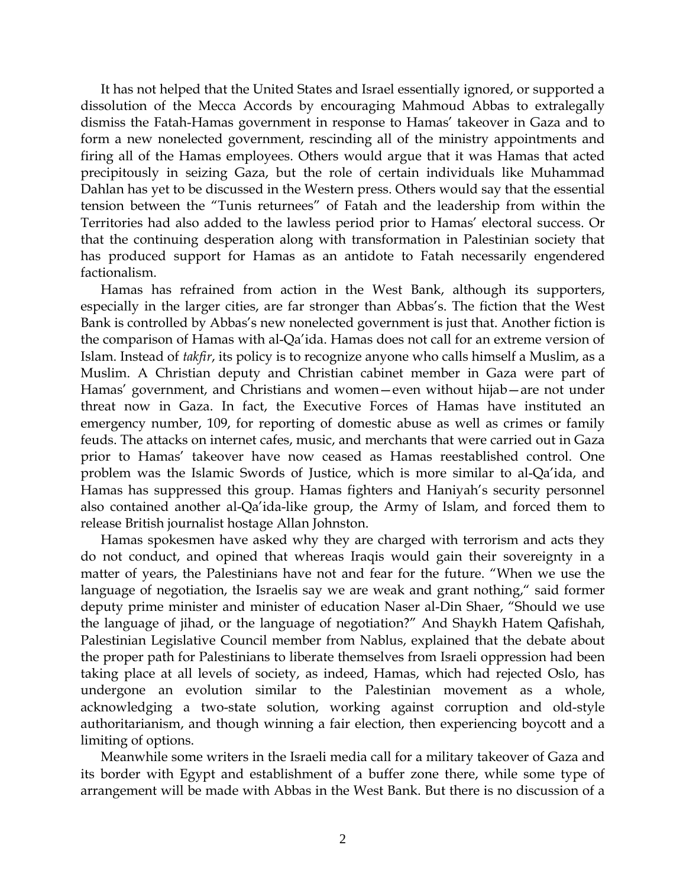It has not helped that the United States and Israel essentially ignored, or supported a dissolution of the Mecca Accords by encouraging Mahmoud Abbas to extralegally dismiss the Fatah-Hamas government in response to Hamas' takeover in Gaza and to form a new nonelected government, rescinding all of the ministry appointments and firing all of the Hamas employees. Others would argue that it was Hamas that acted precipitously in seizing Gaza, but the role of certain individuals like Muhammad Dahlan has yet to be discussed in the Western press. Others would say that the essential tension between the "Tunis returnees" of Fatah and the leadership from within the Territories had also added to the lawless period prior to Hamas' electoral success. Or that the continuing desperation along with transformation in Palestinian society that has produced support for Hamas as an antidote to Fatah necessarily engendered factionalism.

 Hamas has refrained from action in the West Bank, although its supporters, especially in the larger cities, are far stronger than Abbas's. The fiction that the West Bank is controlled by Abbas's new nonelected government is just that. Another fiction is the comparison of Hamas with al-Qa'ida. Hamas does not call for an extreme version of Islam. Instead of *takfir*, its policy is to recognize anyone who calls himself a Muslim, as a Muslim. A Christian deputy and Christian cabinet member in Gaza were part of Hamas' government, and Christians and women—even without hijab—are not under threat now in Gaza. In fact, the Executive Forces of Hamas have instituted an emergency number, 109, for reporting of domestic abuse as well as crimes or family feuds. The attacks on internet cafes, music, and merchants that were carried out in Gaza prior to Hamas' takeover have now ceased as Hamas reestablished control. One problem was the Islamic Swords of Justice, which is more similar to al-Qa'ida, and Hamas has suppressed this group. Hamas fighters and Haniyah's security personnel also contained another al-Qa'ida-like group, the Army of Islam, and forced them to release British journalist hostage Allan Johnston.

 Hamas spokesmen have asked why they are charged with terrorism and acts they do not conduct, and opined that whereas Iraqis would gain their sovereignty in a matter of years, the Palestinians have not and fear for the future. "When we use the language of negotiation, the Israelis say we are weak and grant nothing," said former deputy prime minister and minister of education Naser al-Din Shaer, "Should we use the language of jihad, or the language of negotiation?" And Shaykh Hatem Qafishah, Palestinian Legislative Council member from Nablus, explained that the debate about the proper path for Palestinians to liberate themselves from Israeli oppression had been taking place at all levels of society, as indeed, Hamas, which had rejected Oslo, has undergone an evolution similar to the Palestinian movement as a whole, acknowledging a two-state solution, working against corruption and old-style authoritarianism, and though winning a fair election, then experiencing boycott and a limiting of options.

 Meanwhile some writers in the Israeli media call for a military takeover of Gaza and its border with Egypt and establishment of a buffer zone there, while some type of arrangement will be made with Abbas in the West Bank. But there is no discussion of a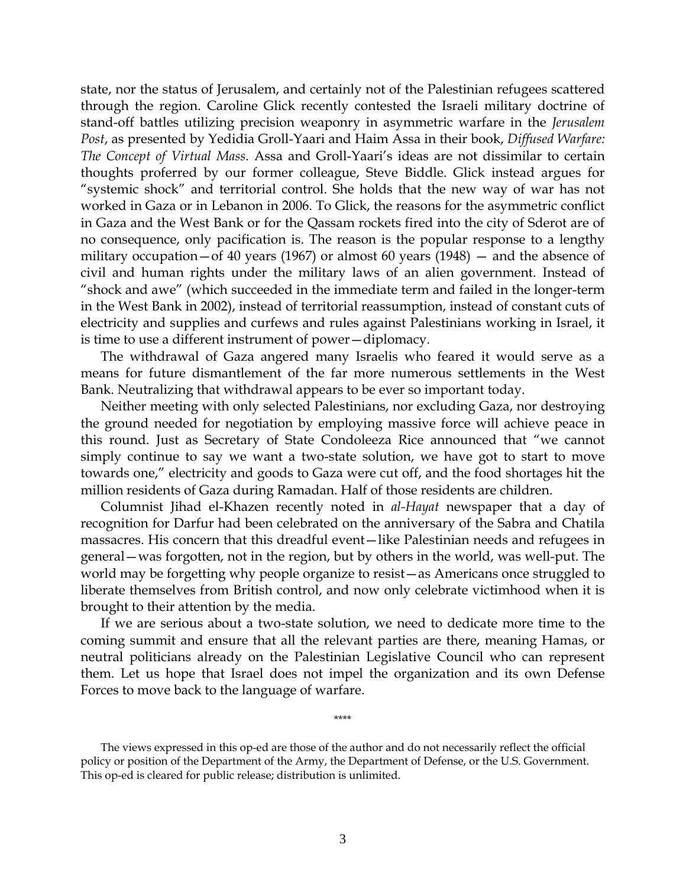state, nor the status of Jerusalem, and certainly not of the Palestinian refugees scattered through the region. Caroline Glick recently contested the Israeli military doctrine of stand-off battles utilizing precision weaponry in asymmetric warfare in the *Jerusalem Post*, as presented by Yedidia Groll-Yaari and Haim Assa in their book, *Diffused Warfare: The Concept of Virtual Mass*. Assa and Groll-Yaari's ideas are not dissimilar to certain thoughts proferred by our former colleague, Steve Biddle. Glick instead argues for "systemic shock" and territorial control. She holds that the new way of war has not worked in Gaza or in Lebanon in 2006. To Glick, the reasons for the asymmetric conflict in Gaza and the West Bank or for the Qassam rockets fired into the city of Sderot are of no consequence, only pacification is. The reason is the popular response to a lengthy military occupation—of 40 years (1967) or almost 60 years (1948) — and the absence of civil and human rights under the military laws of an alien government. Instead of "shock and awe" (which succeeded in the immediate term and failed in the longer-term in the West Bank in 2002), instead of territorial reassumption, instead of constant cuts of electricity and supplies and curfews and rules against Palestinians working in Israel, it is time to use a different instrument of power—diplomacy.

 The withdrawal of Gaza angered many Israelis who feared it would serve as a means for future dismantlement of the far more numerous settlements in the West Bank. Neutralizing that withdrawal appears to be ever so important today.

 Neither meeting with only selected Palestinians, nor excluding Gaza, nor destroying the ground needed for negotiation by employing massive force will achieve peace in this round. Just as Secretary of State Condoleeza Rice announced that "we cannot simply continue to say we want a two-state solution, we have got to start to move towards one," electricity and goods to Gaza were cut off, and the food shortages hit the million residents of Gaza during Ramadan. Half of those residents are children.

 Columnist Jihad el-Khazen recently noted in *al-Hayat* newspaper that a day of recognition for Darfur had been celebrated on the anniversary of the Sabra and Chatila massacres. His concern that this dreadful event—like Palestinian needs and refugees in general—was forgotten, not in the region, but by others in the world, was well-put. The world may be forgetting why people organize to resist—as Americans once struggled to liberate themselves from British control, and now only celebrate victimhood when it is brought to their attention by the media.

 If we are serious about a two-state solution, we need to dedicate more time to the coming summit and ensure that all the relevant parties are there, meaning Hamas, or neutral politicians already on the Palestinian Legislative Council who can represent them. Let us hope that Israel does not impel the organization and its own Defense Forces to move back to the language of warfare.

\*\*\*\*

 The views expressed in this op-ed are those of the author and do not necessarily reflect the official policy or position of the Department of the Army, the Department of Defense, or the U.S. Government. This op-ed is cleared for public release; distribution is unlimited.